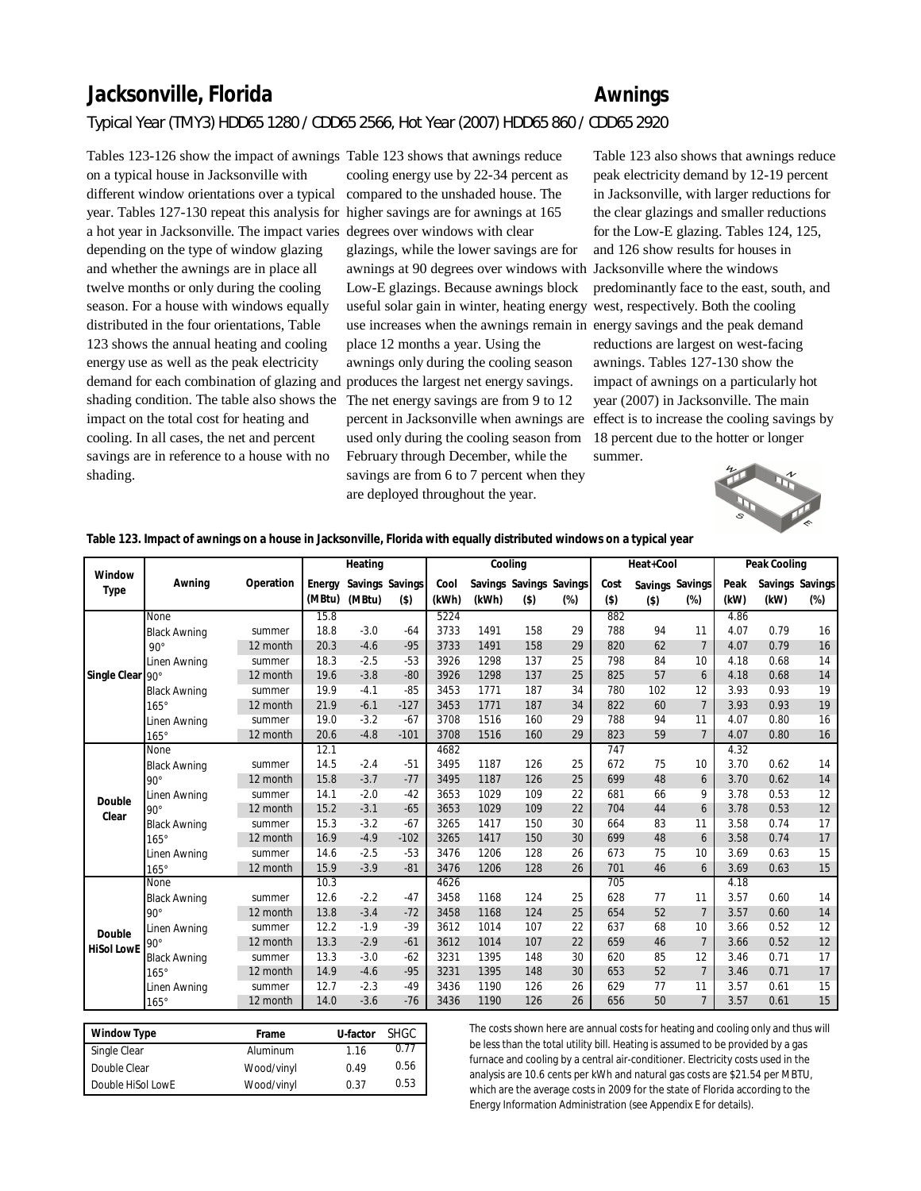## **Jacksonville, Florida Awnings**

## *Typical Year (TMY3) HDD65 1280 / CDD65 2566, Hot Year (2007) HDD65 860 / CDD65 2920*

Tables 123-126 show the impact of awnings Table 123 shows that awnings reduce on a typical house in Jacksonville with different window orientations over a typical compared to the unshaded house. The year. Tables 127-130 repeat this analysis for higher savings are for awnings at 165 a hot year in Jacksonville. The impact varies degrees over windows with clear depending on the type of window glazing and whether the awnings are in place all twelve months or only during the cooling season. For a house with windows equally distributed in the four orientations, Table 123 shows the annual heating and cooling energy use as well as the peak electricity demand for each combination of glazing and produces the largest net energy savings. shading condition. The table also shows the The net energy savings are from 9 to 12 impact on the total cost for heating and cooling. In all cases, the net and percent savings are in reference to a house with no shading.

cooling energy use by 22-34 percent as glazings, while the lower savings are for awnings at 90 degrees over windows with Jacksonville where the windows Low-E glazings. Because awnings block useful solar gain in winter, heating energy west, respectively. Both the cooling use increases when the awnings remain in energy savings and the peak demand place 12 months a year. Using the awnings only during the cooling season used only during the cooling season from February through December, while the savings are from 6 to 7 percent when they are deployed throughout the year.

percent in Jacksonville when awnings are effect is to increase the cooling savings by Table 123 also shows that awnings reduce peak electricity demand by 12-19 percent in Jacksonville, with larger reductions for the clear glazings and smaller reductions for the Low-E glazing. Tables 124, 125, and 126 show results for houses in predominantly face to the east, south, and reductions are largest on west-facing awnings. Tables 127-130 show the impact of awnings on a particularly hot year (2007) in Jacksonville. The main 18 percent due to the hotter or longer summer.



**Table 123. Impact of awnings on a house in Jacksonville, Florida with equally distributed windows on a typical year**

|                   |                     |           |        | Heating |                 |       | Cooling |         |                         |         | Heat+Cool |                 |      | Peak Cooling |                 |
|-------------------|---------------------|-----------|--------|---------|-----------------|-------|---------|---------|-------------------------|---------|-----------|-----------------|------|--------------|-----------------|
| Window            | Awning              | Operation | Energy |         | Savings Savings | Cool  |         |         | Savings Savings Savings | Cost    |           | Savings Savings | Peak |              | Savings Savings |
| Type              |                     |           | (MBtu) | (MBtu)  | $($ \$)         | (kWh) | (kWh)   | $($ \$) | $(\%)$                  | $($ \$) | $($ \$)   | $(\%)$          | (kW) | (kW)         | $(\%)$          |
|                   | None                |           | 15.8   |         |                 | 5224  |         |         |                         | 882     |           |                 | 4.86 |              |                 |
|                   | <b>Black Awning</b> | summer    | 18.8   | $-3.0$  | $-64$           | 3733  | 1491    | 158     | 29                      | 788     | 94        | 11              | 4.07 | 0.79         | 16              |
|                   | $90^{\circ}$        | 12 month  | 20.3   | $-4.6$  | $-95$           | 3733  | 1491    | 158     | 29                      | 820     | 62        | 7               | 4.07 | 0.79         | 16              |
|                   | Linen Awning        | summer    | 18.3   | $-2.5$  | $-53$           | 3926  | 1298    | 137     | 25                      | 798     | 84        | 10              | 4.18 | 0.68         | 14              |
| Single Clear 90°  |                     | 12 month  | 19.6   | $-3.8$  | $-80$           | 3926  | 1298    | 137     | 25                      | 825     | 57        | 6               | 4.18 | 0.68         | 14              |
|                   | <b>Black Awning</b> | summer    | 19.9   | $-4.1$  | $-85$           | 3453  | 1771    | 187     | 34                      | 780     | 102       | 12              | 3.93 | 0.93         | 19              |
|                   | $165^\circ$         | 12 month  | 21.9   | $-6.1$  | $-127$          | 3453  | 1771    | 187     | 34                      | 822     | 60        | 7               | 3.93 | 0.93         | 19              |
|                   | Linen Awning        | summer    | 19.0   | $-3.2$  | $-67$           | 3708  | 1516    | 160     | 29                      | 788     | 94        | 11              | 4.07 | 0.80         | 16              |
|                   | $165^\circ$         | 12 month  | 20.6   | $-4.8$  | $-101$          | 3708  | 1516    | 160     | 29                      | 823     | 59        | $\overline{7}$  | 4.07 | 0.80         | 16              |
|                   | None                |           | 12.1   |         |                 | 4682  |         |         |                         | 747     |           |                 | 4.32 |              |                 |
|                   | <b>Black Awning</b> | summer    | 14.5   | $-2.4$  | $-51$           | 3495  | 1187    | 126     | 25                      | 672     | 75        | 10              | 3.70 | 0.62         | 14              |
|                   | $90^\circ$          | 12 month  | 15.8   | $-3.7$  | $-77$           | 3495  | 1187    | 126     | 25                      | 699     | 48        | 6               | 3.70 | 0.62         | 14              |
| Double            | Linen Awning        | summer    | 14.1   | $-2.0$  | $-42$           | 3653  | 1029    | 109     | 22                      | 681     | 66        | 9               | 3.78 | 0.53         | 12              |
| Clear             | $90^\circ$          | 12 month  | 15.2   | $-3.1$  | $-65$           | 3653  | 1029    | 109     | 22                      | 704     | 44        | 6               | 3.78 | 0.53         | 12              |
|                   | <b>Black Awning</b> | summer    | 15.3   | $-3.2$  | $-67$           | 3265  | 1417    | 150     | 30                      | 664     | 83        | 11              | 3.58 | 0.74         | 17              |
|                   | $165^\circ$         | 12 month  | 16.9   | $-4.9$  | $-102$          | 3265  | 1417    | 150     | 30                      | 699     | 48        | 6               | 3.58 | 0.74         | 17              |
|                   | Linen Awning        | summer    | 14.6   | $-2.5$  | $-53$           | 3476  | 1206    | 128     | 26                      | 673     | 75        | 10              | 3.69 | 0.63         | 15              |
|                   | $165^\circ$         | 12 month  | 15.9   | $-3.9$  | $-81$           | 3476  | 1206    | 128     | 26                      | 701     | 46        | 6               | 3.69 | 0.63         | 15              |
|                   | None                |           | 10.3   |         |                 | 4626  |         |         |                         | 705     |           |                 | 4.18 |              |                 |
|                   | <b>Black Awning</b> | summer    | 12.6   | $-2.2$  | $-47$           | 3458  | 1168    | 124     | 25                      | 628     | 77        | 11              | 3.57 | 0.60         | 14              |
|                   | $90^\circ$          | 12 month  | 13.8   | $-3.4$  | $-72$           | 3458  | 1168    | 124     | 25                      | 654     | 52        | $\overline{7}$  | 3.57 | 0.60         | 14              |
| Double            | Linen Awning        | summer    | 12.2   | $-1.9$  | $-39$           | 3612  | 1014    | 107     | 22                      | 637     | 68        | 10              | 3.66 | 0.52         | 12              |
| <b>HiSol LowE</b> | $90^{\circ}$        | 12 month  | 13.3   | $-2.9$  | $-61$           | 3612  | 1014    | 107     | 22                      | 659     | 46        | $\overline{7}$  | 3.66 | 0.52         | 12              |
|                   | <b>Black Awning</b> | summer    | 13.3   | $-3.0$  | $-62$           | 3231  | 1395    | 148     | 30                      | 620     | 85        | 12              | 3.46 | 0.71         | 17              |
|                   | $165^\circ$         | 12 month  | 14.9   | $-4.6$  | $-95$           | 3231  | 1395    | 148     | 30                      | 653     | 52        | $\overline{7}$  | 3.46 | 0.71         | 17              |
|                   | Linen Awning        | summer    | 12.7   | $-2.3$  | $-49$           | 3436  | 1190    | 126     | 26                      | 629     | 77        | 11              | 3.57 | 0.61         | 15              |
|                   | $165^\circ$         | 12 month  | 14.0   | $-3.6$  | $-76$           | 3436  | 1190    | 126     | 26                      | 656     | 50        | 7               | 3.57 | 0.61         | 15              |

| Window Type       | Frame      | U-factor | <b>SHGC</b> |
|-------------------|------------|----------|-------------|
| Single Clear      | Aluminum   | 1.16     | 0.77        |
| Double Clear      | Wood/vinyl | 0.49     | 0.56        |
| Double HiSol LowE | Wood/vinyl | 0.37     | 0.53        |

The costs shown here are annual costs for heating and cooling only and thus will be less than the total utility bill. Heating is assumed to be provided by a gas furnace and cooling by a central air-conditioner. Electricity costs used in the analysis are 10.6 cents per kWh and natural gas costs are \$21.54 per MBTU, which are the average costs in 2009 for the state of Florida according to the Energy Information Administration (see Appendix E for details).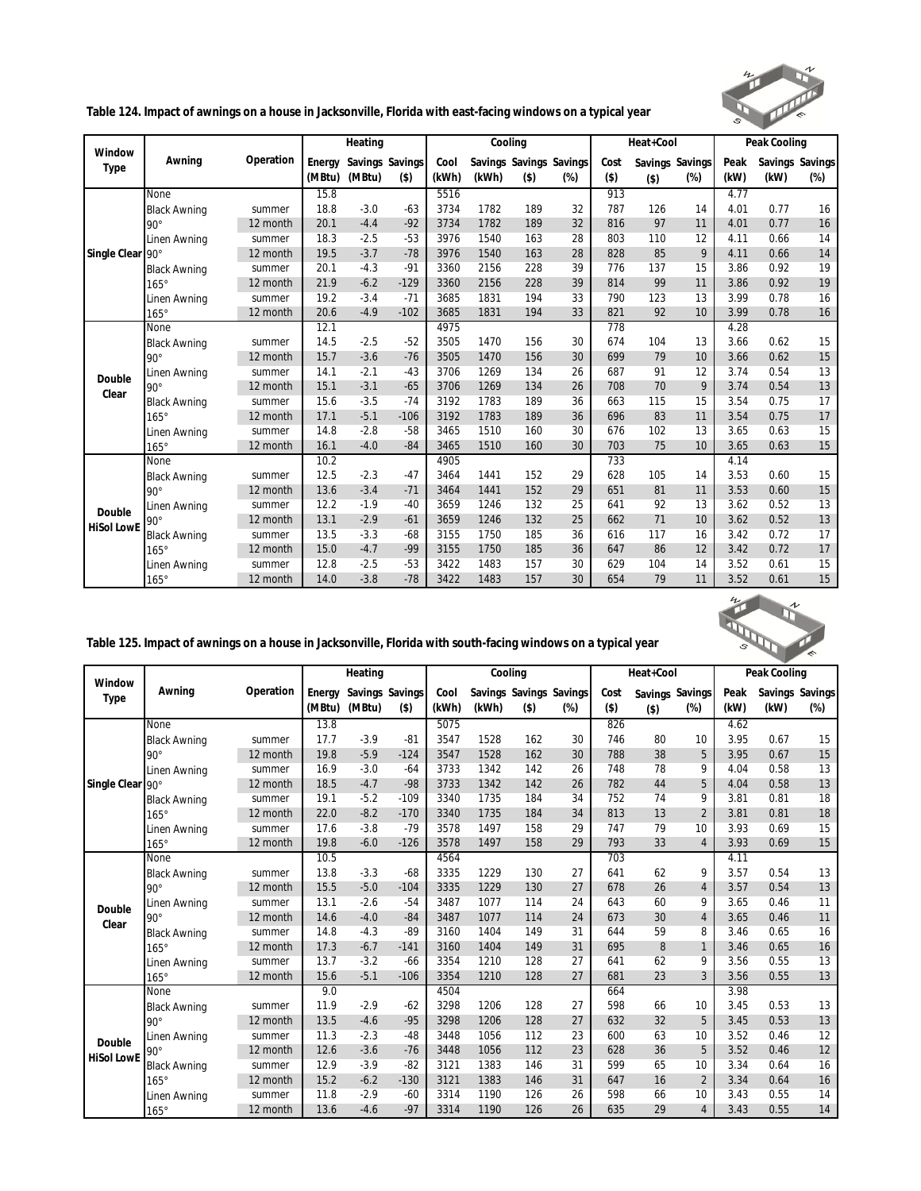

**Table 124. Impact of awnings on a house in Jacksonville, Florida with east-facing windows on a typical year**

| Window            |                     |           |        | Heating         |         |       | Cooling |         |                         |         | Heat+Cool |                 |      | Peak Cooling |                 |
|-------------------|---------------------|-----------|--------|-----------------|---------|-------|---------|---------|-------------------------|---------|-----------|-----------------|------|--------------|-----------------|
| Type              | Awning              | Operation | Energy | Savings Savings |         | Cool  |         |         | Savings Savings Savings | Cost    |           | Savings Savings | Peak |              | Savings Savings |
|                   |                     |           | (MBtu) | (MBtu)          | $($ \$) | (kWh) | (kWh)   | $($ \$) | $(\%)$                  | $($ \$) | $($ \$)   | $(\%)$          | (kW) | (kW)         | $(\%)$          |
|                   | None                |           | 15.8   |                 |         | 5516  |         |         |                         | 913     |           |                 | 4.77 |              |                 |
|                   | <b>Black Awning</b> | summer    | 18.8   | $-3.0$          | $-63$   | 3734  | 1782    | 189     | 32                      | 787     | 126       | 14              | 4.01 | 0.77         | 16              |
|                   | $90^\circ$          | 12 month  | 20.1   | $-4.4$          | $-92$   | 3734  | 1782    | 189     | 32                      | 816     | 97        | 11              | 4.01 | 0.77         | 16              |
|                   | Linen Awning        | summer    | 18.3   | $-2.5$          | $-53$   | 3976  | 1540    | 163     | 28                      | 803     | 110       | 12              | 4.11 | 0.66         | 14              |
| Single Clear      | $90^\circ$          | 12 month  | 19.5   | $-3.7$          | $-78$   | 3976  | 1540    | 163     | 28                      | 828     | 85        | 9               | 4.11 | 0.66         | 14              |
|                   | <b>Black Awning</b> | summer    | 20.1   | $-4.3$          | $-91$   | 3360  | 2156    | 228     | 39                      | 776     | 137       | 15              | 3.86 | 0.92         | 19              |
|                   | $165^\circ$         | 12 month  | 21.9   | $-6.2$          | $-129$  | 3360  | 2156    | 228     | 39                      | 814     | 99        | 11              | 3.86 | 0.92         | 19              |
|                   | Linen Awning        | summer    | 19.2   | $-3.4$          | $-71$   | 3685  | 1831    | 194     | 33                      | 790     | 123       | 13              | 3.99 | 0.78         | 16              |
|                   | $165^\circ$         | 12 month  | 20.6   | $-4.9$          | $-102$  | 3685  | 1831    | 194     | 33                      | 821     | 92        | 10              | 3.99 | 0.78         | 16              |
|                   | None                |           | 12.1   |                 |         | 4975  |         |         |                         | 778     |           |                 | 4.28 |              |                 |
|                   | <b>Black Awning</b> | summer    | 14.5   | $-2.5$          | $-52$   | 3505  | 1470    | 156     | 30                      | 674     | 104       | 13              | 3.66 | 0.62         | 15              |
|                   | $90^\circ$          | 12 month  | 15.7   | $-3.6$          | $-76$   | 3505  | 1470    | 156     | 30                      | 699     | 79        | 10              | 3.66 | 0.62         | 15              |
| Double            | Linen Awning        | summer    | 14.1   | $-2.1$          | $-43$   | 3706  | 1269    | 134     | 26                      | 687     | 91        | 12              | 3.74 | 0.54         | 13              |
| Clear             | $90^{\circ}$        | 12 month  | 15.1   | $-3.1$          | $-65$   | 3706  | 1269    | 134     | 26                      | 708     | 70        | 9               | 3.74 | 0.54         | 13              |
|                   | <b>Black Awning</b> | summer    | 15.6   | $-3.5$          | $-74$   | 3192  | 1783    | 189     | 36                      | 663     | 115       | 15              | 3.54 | 0.75         | 17              |
|                   | $165^\circ$         | 12 month  | 17.1   | $-5.1$          | $-106$  | 3192  | 1783    | 189     | 36                      | 696     | 83        | 11              | 3.54 | 0.75         | 17              |
|                   | Linen Awning        | summer    | 14.8   | $-2.8$          | $-58$   | 3465  | 1510    | 160     | 30                      | 676     | 102       | 13              | 3.65 | 0.63         | 15              |
|                   | $165^\circ$         | 12 month  | 16.1   | $-4.0$          | $-84$   | 3465  | 1510    | 160     | 30                      | 703     | 75        | 10              | 3.65 | 0.63         | 15              |
|                   | None                |           | 10.2   |                 |         | 4905  |         |         |                         | 733     |           |                 | 4.14 |              |                 |
|                   | <b>Black Awning</b> | summer    | 12.5   | $-2.3$          | $-47$   | 3464  | 1441    | 152     | 29                      | 628     | 105       | 14              | 3.53 | 0.60         | 15              |
|                   | $90^{\circ}$        | 12 month  | 13.6   | $-3.4$          | $-71$   | 3464  | 1441    | 152     | 29                      | 651     | 81        | 11              | 3.53 | 0.60         | 15              |
| Double            | Linen Awning        | summer    | 12.2   | $-1.9$          | $-40$   | 3659  | 1246    | 132     | 25                      | 641     | 92        | 13              | 3.62 | 0.52         | 13              |
| <b>HiSol LowE</b> | $90^\circ$          | 12 month  | 13.1   | $-2.9$          | $-61$   | 3659  | 1246    | 132     | 25                      | 662     | 71        | 10              | 3.62 | 0.52         | 13              |
|                   | <b>Black Awning</b> | summer    | 13.5   | $-3.3$          | $-68$   | 3155  | 1750    | 185     | 36                      | 616     | 117       | 16              | 3.42 | 0.72         | 17              |
|                   | $165^\circ$         | 12 month  | 15.0   | $-4.7$          | $-99$   | 3155  | 1750    | 185     | 36                      | 647     | 86        | 12              | 3.42 | 0.72         | 17              |
|                   | Linen Awning        | summer    | 12.8   | $-2.5$          | $-53$   | 3422  | 1483    | 157     | 30                      | 629     | 104       | 14              | 3.52 | 0.61         | 15              |
|                   | $165^\circ$         | 12 month  | 14.0   | $-3.8$          | $-78$   | 3422  | 1483    | 157     | 30                      | 654     | 79        | 11              | 3.52 | 0.61         | 15              |

| $\iota$<br>ı<br>∼ |  |
|-------------------|--|
|                   |  |
| 2,                |  |

| Table 125. Impact of awnings on a house in Jacksonville, Florida with south-facing windows on a typical year |  |  |
|--------------------------------------------------------------------------------------------------------------|--|--|
|                                                                                                              |  |  |
|                                                                                                              |  |  |
|                                                                                                              |  |  |

|                   |                     |           |        | Heating |                 |       | Cooling |                         |        |         | Heat+Cool       |                |      | Peak Cooling |                 |
|-------------------|---------------------|-----------|--------|---------|-----------------|-------|---------|-------------------------|--------|---------|-----------------|----------------|------|--------------|-----------------|
| Window            | Awning              | Operation | Energy |         | Savings Savings | Cool  |         | Savings Savings Savings |        | Cost    | Savings Savings |                | Peak |              | Savings Savings |
| Type              |                     |           | (MBtu) | (MBtu)  | $($ \$)         | (kWh) | (kWh)   | $($ \$)                 | $(\%)$ | $($ \$) | $($ \$)         | $(\%)$         | (kW) | (kW)         | $(\%)$          |
|                   | None                |           | 13.8   |         |                 | 5075  |         |                         |        | 826     |                 |                | 4.62 |              |                 |
|                   | <b>Black Awning</b> | summer    | 17.7   | $-3.9$  | $-81$           | 3547  | 1528    | 162                     | 30     | 746     | 80              | 10             | 3.95 | 0.67         | 15              |
|                   | $90^\circ$          | 12 month  | 19.8   | $-5.9$  | $-124$          | 3547  | 1528    | 162                     | 30     | 788     | 38              | 5              | 3.95 | 0.67         | 15              |
|                   | Linen Awning        | summer    | 16.9   | $-3.0$  | $-64$           | 3733  | 1342    | 142                     | 26     | 748     | 78              | 9              | 4.04 | 0.58         | 13              |
| Single Clear 90°  |                     | 12 month  | 18.5   | $-4.7$  | $-98$           | 3733  | 1342    | 142                     | 26     | 782     | 44              | 5              | 4.04 | 0.58         | 13              |
|                   | <b>Black Awning</b> | summer    | 19.1   | $-5.2$  | $-109$          | 3340  | 1735    | 184                     | 34     | 752     | 74              | 9              | 3.81 | 0.81         | 18              |
|                   | $165^\circ$         | 12 month  | 22.0   | $-8.2$  | $-170$          | 3340  | 1735    | 184                     | 34     | 813     | 13              | $\overline{2}$ | 3.81 | 0.81         | 18              |
|                   | Linen Awning        | summer    | 17.6   | $-3.8$  | $-79$           | 3578  | 1497    | 158                     | 29     | 747     | 79              | 10             | 3.93 | 0.69         | 15              |
|                   | $165^\circ$         | 12 month  | 19.8   | $-6.0$  | $-126$          | 3578  | 1497    | 158                     | 29     | 793     | 33              | $\overline{4}$ | 3.93 | 0.69         | 15              |
|                   | None                |           | 10.5   |         |                 | 4564  |         |                         |        | 703     |                 |                | 4.11 |              |                 |
|                   | <b>Black Awning</b> | summer    | 13.8   | $-3.3$  | $-68$           | 3335  | 1229    | 130                     | 27     | 641     | 62              | 9              | 3.57 | 0.54         | 13              |
|                   | $90^\circ$          | 12 month  | 15.5   | $-5.0$  | $-104$          | 3335  | 1229    | 130                     | 27     | 678     | 26              | $\overline{4}$ | 3.57 | 0.54         | 13              |
| Double            | Linen Awning        | summer    | 13.1   | $-2.6$  | $-54$           | 3487  | 1077    | 114                     | 24     | 643     | 60              | 9              | 3.65 | 0.46         | 11              |
| Clear             | $90^\circ$          | 12 month  | 14.6   | $-4.0$  | $-84$           | 3487  | 1077    | 114                     | 24     | 673     | 30              | $\overline{4}$ | 3.65 | 0.46         | 11              |
|                   | <b>Black Awning</b> | summer    | 14.8   | $-4.3$  | $-89$           | 3160  | 1404    | 149                     | 31     | 644     | 59              | 8              | 3.46 | 0.65         | 16              |
|                   | $165^\circ$         | 12 month  | 17.3   | $-6.7$  | $-141$          | 3160  | 1404    | 149                     | 31     | 695     | 8               | $\mathbf{1}$   | 3.46 | 0.65         | 16              |
|                   | Linen Awning        | summer    | 13.7   | $-3.2$  | $-66$           | 3354  | 1210    | 128                     | 27     | 641     | 62              | 9              | 3.56 | 0.55         | 13              |
|                   | $165^\circ$         | 12 month  | 15.6   | $-5.1$  | $-106$          | 3354  | 1210    | 128                     | 27     | 681     | 23              | 3              | 3.56 | 0.55         | 13              |
|                   | None                |           | 9.0    |         |                 | 4504  |         |                         |        | 664     |                 |                | 3.98 |              |                 |
|                   | <b>Black Awning</b> | summer    | 11.9   | $-2.9$  | $-62$           | 3298  | 1206    | 128                     | 27     | 598     | 66              | 10             | 3.45 | 0.53         | 13              |
|                   | $90^\circ$          | 12 month  | 13.5   | $-4.6$  | $-95$           | 3298  | 1206    | 128                     | 27     | 632     | 32              | 5              | 3.45 | 0.53         | 13              |
| Double            | Linen Awning        | summer    | 11.3   | $-2.3$  | $-48$           | 3448  | 1056    | 112                     | 23     | 600     | 63              | 10             | 3.52 | 0.46         | 12              |
| <b>HiSol LowE</b> | $90^\circ$          | 12 month  | 12.6   | $-3.6$  | $-76$           | 3448  | 1056    | 112                     | 23     | 628     | 36              | 5              | 3.52 | 0.46         | 12              |
|                   | <b>Black Awning</b> | summer    | 12.9   | $-3.9$  | $-82$           | 3121  | 1383    | 146                     | 31     | 599     | 65              | 10             | 3.34 | 0.64         | 16              |
|                   | $165^\circ$         | 12 month  | 15.2   | $-6.2$  | $-130$          | 3121  | 1383    | 146                     | 31     | 647     | 16              | $\overline{2}$ | 3.34 | 0.64         | 16              |
|                   | Linen Awning        | summer    | 11.8   | $-2.9$  | $-60$           | 3314  | 1190    | 126                     | 26     | 598     | 66              | 10             | 3.43 | 0.55         | 14              |
|                   | $165^\circ$         | 12 month  | 13.6   | $-4.6$  | $-97$           | 3314  | 1190    | 126                     | 26     | 635     | 29              | $\overline{4}$ | 3.43 | 0.55         | 14              |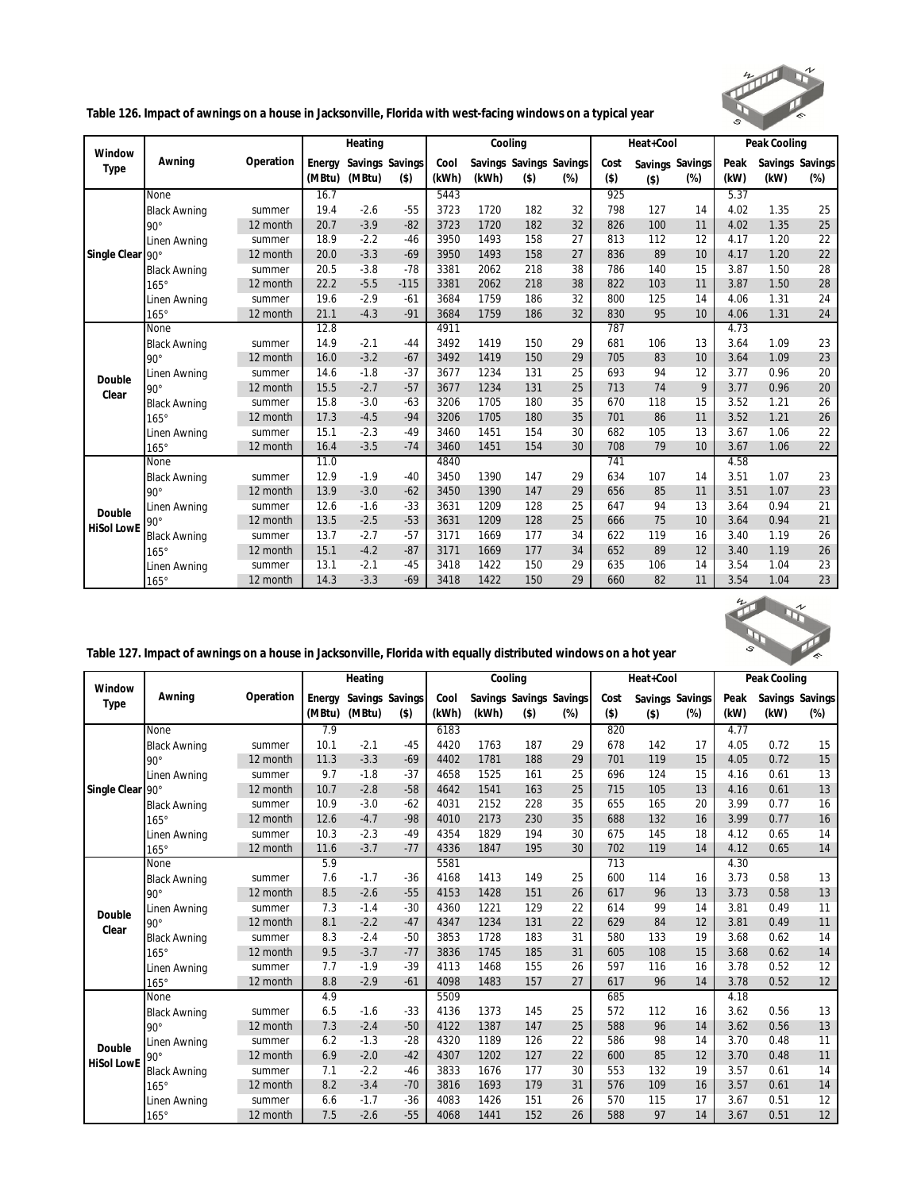

**Table 126. Impact of awnings on a house in Jacksonville, Florida with west-facing windows on a typical year**

|                   |                     |           |        | Heating         |         |       | Cooling |         |                         |         | Heat+Cool |                 |      | Peak Cooling |                 |
|-------------------|---------------------|-----------|--------|-----------------|---------|-------|---------|---------|-------------------------|---------|-----------|-----------------|------|--------------|-----------------|
| Window            | Awning              | Operation | Energy | Savings Savings |         | Cool  |         |         | Savings Savings Savings | Cost    |           | Savings Savings | Peak |              | Savings Savings |
| Type              |                     |           | (MBtu) | (MBtu)          | $($ \$) | (kWh) | (kWh)   | $($ \$) | $(\%)$                  | $($ \$) | $($ \$)   | $(\%)$          | (kW) | (kW)         | $(\%)$          |
|                   | None                |           | 16.7   |                 |         | 5443  |         |         |                         | 925     |           |                 | 5.37 |              |                 |
|                   | <b>Black Awning</b> | summer    | 19.4   | $-2.6$          | $-55$   | 3723  | 1720    | 182     | 32                      | 798     | 127       | 14              | 4.02 | 1.35         | 25              |
|                   | $90^\circ$          | 12 month  | 20.7   | $-3.9$          | $-82$   | 3723  | 1720    | 182     | 32                      | 826     | 100       | 11              | 4.02 | 1.35         | 25              |
|                   | Linen Awning        | summer    | 18.9   | $-2.2$          | $-46$   | 3950  | 1493    | 158     | 27                      | 813     | 112       | 12              | 4.17 | 1.20         | 22              |
| Single Clear      | $90^\circ$          | 12 month  | 20.0   | $-3.3$          | $-69$   | 3950  | 1493    | 158     | 27                      | 836     | 89        | 10              | 4.17 | 1.20         | 22              |
|                   | <b>Black Awning</b> | summer    | 20.5   | $-3.8$          | $-78$   | 3381  | 2062    | 218     | 38                      | 786     | 140       | 15              | 3.87 | 1.50         | 28              |
|                   | $165^\circ$         | 12 month  | 22.2   | $-5.5$          | $-115$  | 3381  | 2062    | 218     | 38                      | 822     | 103       | 11              | 3.87 | 1.50         | 28              |
|                   | Linen Awning        | summer    | 19.6   | $-2.9$          | $-61$   | 3684  | 1759    | 186     | 32                      | 800     | 125       | 14              | 4.06 | 1.31         | 24              |
|                   | $165^\circ$         | 12 month  | 21.1   | $-4.3$          | $-91$   | 3684  | 1759    | 186     | 32                      | 830     | 95        | 10              | 4.06 | 1.31         | 24              |
|                   | None                |           | 12.8   |                 |         | 4911  |         |         |                         | 787     |           |                 | 4.73 |              |                 |
|                   | <b>Black Awning</b> | summer    | 14.9   | $-2.1$          | $-44$   | 3492  | 1419    | 150     | 29                      | 681     | 106       | 13              | 3.64 | 1.09         | 23              |
|                   | $90^\circ$          | 12 month  | 16.0   | $-3.2$          | $-67$   | 3492  | 1419    | 150     | 29                      | 705     | 83        | 10              | 3.64 | 1.09         | 23              |
|                   | Linen Awning        | summer    | 14.6   | $-1.8$          | $-37$   | 3677  | 1234    | 131     | 25                      | 693     | 94        | 12              | 3.77 | 0.96         | 20              |
| Double            | $90^\circ$          | 12 month  | 15.5   | $-2.7$          | $-57$   | 3677  | 1234    | 131     | 25                      | 713     | 74        | 9               | 3.77 | 0.96         | 20              |
| Clear             | <b>Black Awning</b> | summer    | 15.8   | $-3.0$          | $-63$   | 3206  | 1705    | 180     | 35                      | 670     | 118       | 15              | 3.52 | 1.21         | 26              |
|                   | $165^\circ$         | 12 month  | 17.3   | $-4.5$          | $-94$   | 3206  | 1705    | 180     | 35                      | 701     | 86        | 11              | 3.52 | 1.21         | 26              |
|                   | Linen Awning        | summer    | 15.1   | $-2.3$          | $-49$   | 3460  | 1451    | 154     | 30                      | 682     | 105       | 13              | 3.67 | 1.06         | 22              |
|                   | $165^\circ$         | 12 month  | 16.4   | $-3.5$          | $-74$   | 3460  | 1451    | 154     | 30                      | 708     | 79        | 10              | 3.67 | 1.06         | 22              |
|                   | None                |           | 11.0   |                 |         | 4840  |         |         |                         | 741     |           |                 | 4.58 |              |                 |
|                   | <b>Black Awning</b> | summer    | 12.9   | $-1.9$          | $-40$   | 3450  | 1390    | 147     | 29                      | 634     | 107       | 14              | 3.51 | 1.07         | 23              |
|                   | $90^\circ$          | 12 month  | 13.9   | $-3.0$          | $-62$   | 3450  | 1390    | 147     | 29                      | 656     | 85        | 11              | 3.51 | 1.07         | 23              |
| Double            | Linen Awning        | summer    | 12.6   | $-1.6$          | $-33$   | 3631  | 1209    | 128     | 25                      | 647     | 94        | 13              | 3.64 | 0.94         | 21              |
| <b>HiSol LowE</b> | $90^{\circ}$        | 12 month  | 13.5   | $-2.5$          | $-53$   | 3631  | 1209    | 128     | 25                      | 666     | 75        | 10              | 3.64 | 0.94         | 21              |
|                   | <b>Black Awning</b> | summer    | 13.7   | $-2.7$          | $-57$   | 3171  | 1669    | 177     | 34                      | 622     | 119       | 16              | 3.40 | 1.19         | 26              |
|                   | $165^\circ$         | 12 month  | 15.1   | $-4.2$          | $-87$   | 3171  | 1669    | 177     | 34                      | 652     | 89        | 12              | 3.40 | 1.19         | 26              |
|                   | Linen Awning        | summer    | 13.1   | $-2.1$          | $-45$   | 3418  | 1422    | 150     | 29                      | 635     | 106       | 14              | 3.54 | 1.04         | 23              |
|                   | $165^\circ$         | 12 month  | 14.3   | $-3.3$          | $-69$   | 3418  | 1422    | 150     | 29                      | 660     | 82        | 11              | 3.54 | 1.04         | 23              |



|  | Table 127. Impact of awnings on a house in Jacksonville, Florida with equally distributed windows on a hot year |
|--|-----------------------------------------------------------------------------------------------------------------|
|--|-----------------------------------------------------------------------------------------------------------------|

|                   |                     |           |        | Heating |                 |       |       | Cooling                 |        |         | Heat+Cool |                 |      | Peak Cooling |                 |
|-------------------|---------------------|-----------|--------|---------|-----------------|-------|-------|-------------------------|--------|---------|-----------|-----------------|------|--------------|-----------------|
| Window            | Awning              | Operation | Energy |         | Savings Savings | Cool  |       | Savings Savings Savings |        | Cost    |           | Savings Savings | Peak |              | Savings Savings |
| Type              |                     |           | (MBtu) | (MBtu)  | $($ \$)         | (kWh) | (kWh) | $($ \$)                 | $(\%)$ | $($ \$) | $($ \$)   | $(\%)$          | (kW) | (kW)         | $(\%)$          |
|                   | None                |           | 7.9    |         |                 | 6183  |       |                         |        | 820     |           |                 | 4.77 |              |                 |
|                   | <b>Black Awning</b> | summer    | 10.1   | $-2.1$  | $-45$           | 4420  | 1763  | 187                     | 29     | 678     | 142       | 17              | 4.05 | 0.72         | 15              |
|                   | $90^\circ$          | 12 month  | 11.3   | $-3.3$  | $-69$           | 4402  | 1781  | 188                     | 29     | 701     | 119       | 15              | 4.05 | 0.72         | 15              |
|                   | Linen Awning        | summer    | 9.7    | $-1.8$  | $-37$           | 4658  | 1525  | 161                     | 25     | 696     | 124       | 15              | 4.16 | 0.61         | 13              |
| Single Clear 90°  |                     | 12 month  | 10.7   | $-2.8$  | $-58$           | 4642  | 1541  | 163                     | 25     | 715     | 105       | 13              | 4.16 | 0.61         | 13              |
|                   | <b>Black Awning</b> | summer    | 10.9   | $-3.0$  | $-62$           | 4031  | 2152  | 228                     | 35     | 655     | 165       | 20              | 3.99 | 0.77         | 16              |
|                   | $165^\circ$         | 12 month  | 12.6   | $-4.7$  | $-98$           | 4010  | 2173  | 230                     | 35     | 688     | 132       | 16              | 3.99 | 0.77         | 16              |
|                   | Linen Awning        | summer    | 10.3   | $-2.3$  | $-49$           | 4354  | 1829  | 194                     | 30     | 675     | 145       | 18              | 4.12 | 0.65         | 14              |
|                   | $165^\circ$         | 12 month  | 11.6   | $-3.7$  | $-77$           | 4336  | 1847  | 195                     | 30     | 702     | 119       | 14              | 4.12 | 0.65         | 14              |
|                   | None                |           | 5.9    |         |                 | 5581  |       |                         |        | 713     |           |                 | 4.30 |              |                 |
|                   | <b>Black Awning</b> | summer    | 7.6    | $-1.7$  | $-36$           | 4168  | 1413  | 149                     | 25     | 600     | 114       | 16              | 3.73 | 0.58         | 13              |
|                   | $90^\circ$          | 12 month  | 8.5    | $-2.6$  | $-55$           | 4153  | 1428  | 151                     | 26     | 617     | 96        | 13              | 3.73 | 0.58         | 13              |
| Double            | Linen Awning        | summer    | 7.3    | $-1.4$  | $-30$           | 4360  | 1221  | 129                     | 22     | 614     | 99        | 14              | 3.81 | 0.49         | 11              |
| Clear             | $90^\circ$          | 12 month  | 8.1    | $-2.2$  | $-47$           | 4347  | 1234  | 131                     | 22     | 629     | 84        | 12              | 3.81 | 0.49         | 11              |
|                   | <b>Black Awning</b> | summer    | 8.3    | $-2.4$  | $-50$           | 3853  | 1728  | 183                     | 31     | 580     | 133       | 19              | 3.68 | 0.62         | 14              |
|                   | $165^\circ$         | 12 month  | 9.5    | $-3.7$  | $-77$           | 3836  | 1745  | 185                     | 31     | 605     | 108       | 15              | 3.68 | 0.62         | 14              |
|                   | Linen Awning        | summer    | 7.7    | $-1.9$  | $-39$           | 4113  | 1468  | 155                     | 26     | 597     | 116       | 16              | 3.78 | 0.52         | 12              |
|                   | $165^\circ$         | 12 month  | 8.8    | $-2.9$  | $-61$           | 4098  | 1483  | 157                     | 27     | 617     | 96        | 14              | 3.78 | 0.52         | 12              |
|                   | None                |           | 4.9    |         |                 | 5509  |       |                         |        | 685     |           |                 | 4.18 |              |                 |
|                   | <b>Black Awning</b> | summer    | 6.5    | $-1.6$  | $-33$           | 4136  | 1373  | 145                     | 25     | 572     | 112       | 16              | 3.62 | 0.56         | 13              |
|                   | $90^\circ$          | 12 month  | 7.3    | $-2.4$  | $-50$           | 4122  | 1387  | 147                     | 25     | 588     | 96        | 14              | 3.62 | 0.56         | 13              |
| Double            | Linen Awning        | summer    | 6.2    | $-1.3$  | $-28$           | 4320  | 1189  | 126                     | 22     | 586     | 98        | 14              | 3.70 | 0.48         | 11              |
| <b>HiSol LowE</b> | $90^\circ$          | 12 month  | 6.9    | $-2.0$  | $-42$           | 4307  | 1202  | 127                     | 22     | 600     | 85        | 12              | 3.70 | 0.48         | 11              |
|                   | <b>Black Awning</b> | summer    | 7.1    | $-2.2$  | $-46$           | 3833  | 1676  | 177                     | 30     | 553     | 132       | 19              | 3.57 | 0.61         | 14              |
|                   | $165^\circ$         | 12 month  | 8.2    | $-3.4$  | $-70$           | 3816  | 1693  | 179                     | 31     | 576     | 109       | 16              | 3.57 | 0.61         | 14              |
|                   | Linen Awning        | summer    | 6.6    | $-1.7$  | $-36$           | 4083  | 1426  | 151                     | 26     | 570     | 115       | 17              | 3.67 | 0.51         | 12              |
|                   | $165^\circ$         | 12 month  | 7.5    | $-2.6$  | $-55$           | 4068  | 1441  | 152                     | 26     | 588     | 97        | 14              | 3.67 | 0.51         | 12              |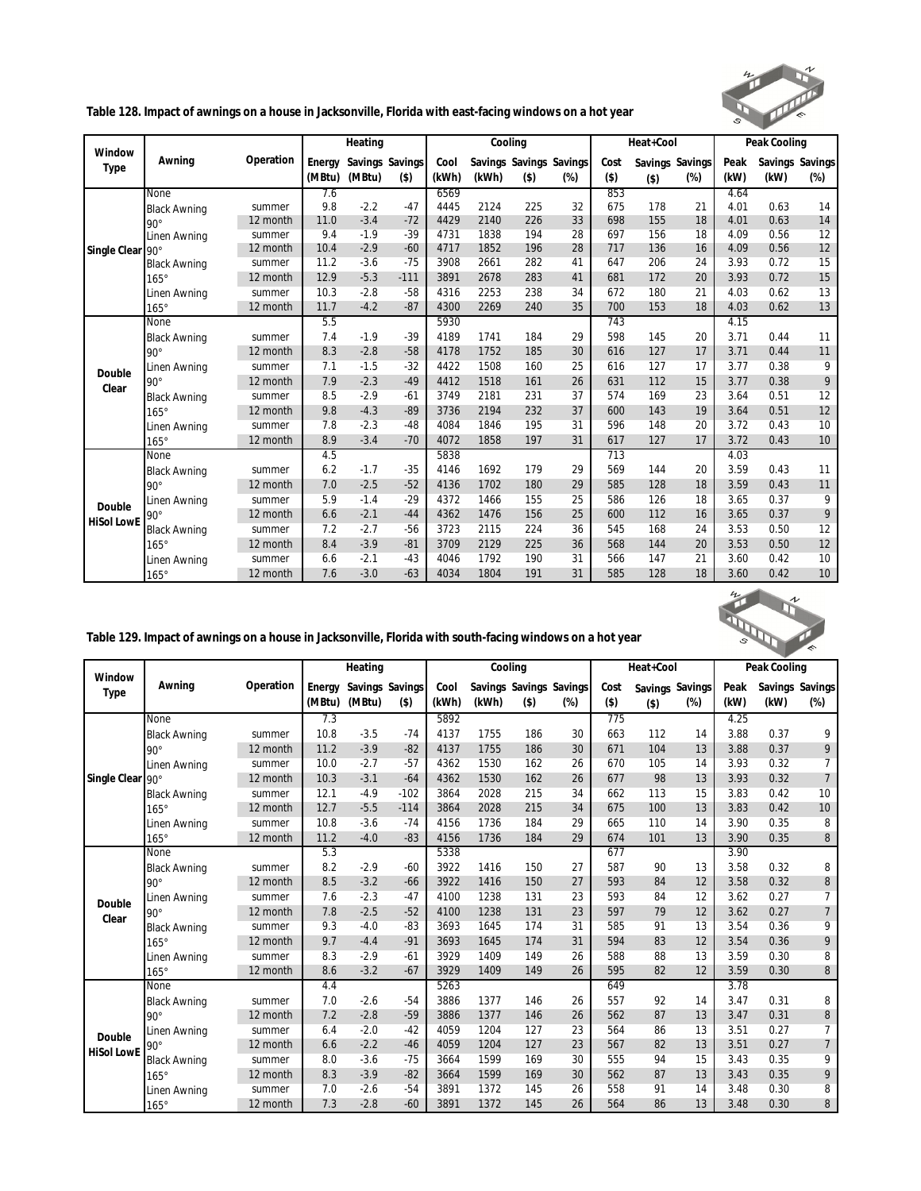

**Table 128. Impact of awnings on a house in Jacksonville, Florida with east-facing windows on a hot year**

|                   |                     |           |        | Heating         |         |       | Cooling |         |                         |         | Heat+Cool |                 |      | Peak Cooling |                 |
|-------------------|---------------------|-----------|--------|-----------------|---------|-------|---------|---------|-------------------------|---------|-----------|-----------------|------|--------------|-----------------|
| Window            | Awning              | Operation | Energy | Savings Savings |         | Cool  |         |         | Savings Savings Savings | Cost    |           | Savings Savings | Peak |              | Savings Savings |
| Type              |                     |           | (MBtu) | (MBtu)          | $($ \$) | (kWh) | (kWh)   | $($ \$) | $(\%)$                  | $($ \$) | $($ \$)   | $(\%)$          | (kW) | (kW)         | $(\%)$          |
|                   | None                |           | 7.6    |                 |         | 6569  |         |         |                         | 853     |           |                 | 4.64 |              |                 |
|                   | <b>Black Awning</b> | summer    | 9.8    | $-2.2$          | $-47$   | 4445  | 2124    | 225     | 32                      | 675     | 178       | 21              | 4.01 | 0.63         | 14              |
|                   | $90^\circ$          | 12 month  | 11.0   | $-3.4$          | $-72$   | 4429  | 2140    | 226     | 33                      | 698     | 155       | 18              | 4.01 | 0.63         | 14              |
|                   | Linen Awning        | summer    | 9.4    | $-1.9$          | $-39$   | 4731  | 1838    | 194     | 28                      | 697     | 156       | 18              | 4.09 | 0.56         | 12              |
| Single Clear      | $90^\circ$          | 12 month  | 10.4   | $-2.9$          | $-60$   | 4717  | 1852    | 196     | 28                      | 717     | 136       | 16              | 4.09 | 0.56         | 12              |
|                   | <b>Black Awning</b> | summer    | 11.2   | $-3.6$          | $-75$   | 3908  | 2661    | 282     | 41                      | 647     | 206       | 24              | 3.93 | 0.72         | 15              |
|                   | $165^\circ$         | 12 month  | 12.9   | $-5.3$          | $-111$  | 3891  | 2678    | 283     | 41                      | 681     | 172       | 20              | 3.93 | 0.72         | 15              |
|                   | Linen Awning        | summer    | 10.3   | $-2.8$          | $-58$   | 4316  | 2253    | 238     | 34                      | 672     | 180       | 21              | 4.03 | 0.62         | 13              |
|                   | $165^\circ$         | 12 month  | 11.7   | $-4.2$          | $-87$   | 4300  | 2269    | 240     | 35                      | 700     | 153       | 18              | 4.03 | 0.62         | 13              |
|                   | None                |           | 5.5    |                 |         | 5930  |         |         |                         | 743     |           |                 | 4.15 |              |                 |
|                   | <b>Black Awning</b> | summer    | 7.4    | $-1.9$          | $-39$   | 4189  | 1741    | 184     | 29                      | 598     | 145       | 20              | 3.71 | 0.44         | 11              |
|                   | $90^\circ$          | 12 month  | 8.3    | $-2.8$          | $-58$   | 4178  | 1752    | 185     | 30                      | 616     | 127       | 17              | 3.71 | 0.44         | 11              |
| Double            | Linen Awning        | summer    | 7.1    | $-1.5$          | $-32$   | 4422  | 1508    | 160     | 25                      | 616     | 127       | 17              | 3.77 | 0.38         | 9               |
| Clear             | $90^{\circ}$        | 12 month  | 7.9    | $-2.3$          | $-49$   | 4412  | 1518    | 161     | 26                      | 631     | 112       | 15              | 3.77 | 0.38         | 9               |
|                   | <b>Black Awning</b> | summer    | 8.5    | $-2.9$          | $-61$   | 3749  | 2181    | 231     | 37                      | 574     | 169       | 23              | 3.64 | 0.51         | 12              |
|                   | $165^\circ$         | 12 month  | 9.8    | $-4.3$          | $-89$   | 3736  | 2194    | 232     | 37                      | 600     | 143       | 19              | 3.64 | 0.51         | 12              |
|                   | Linen Awning        | summer    | 7.8    | $-2.3$          | $-48$   | 4084  | 1846    | 195     | 31                      | 596     | 148       | 20              | 3.72 | 0.43         | 10              |
|                   | $165^\circ$         | 12 month  | 8.9    | $-3.4$          | $-70$   | 4072  | 1858    | 197     | 31                      | 617     | 127       | 17              | 3.72 | 0.43         | 10              |
|                   | None                |           | 4.5    |                 |         | 5838  |         |         |                         | 713     |           |                 | 4.03 |              |                 |
|                   | <b>Black Awning</b> | summer    | 6.2    | $-1.7$          | $-35$   | 4146  | 1692    | 179     | 29                      | 569     | 144       | 20              | 3.59 | 0.43         | 11              |
|                   | $90^\circ$          | 12 month  | 7.0    | $-2.5$          | $-52$   | 4136  | 1702    | 180     | 29                      | 585     | 128       | 18              | 3.59 | 0.43         | 11              |
| Double            | Linen Awning        | summer    | 5.9    | $-1.4$          | $-29$   | 4372  | 1466    | 155     | 25                      | 586     | 126       | 18              | 3.65 | 0.37         | 9               |
| <b>HiSol LowE</b> | $90^\circ$          | 12 month  | 6.6    | $-2.1$          | $-44$   | 4362  | 1476    | 156     | 25                      | 600     | 112       | 16              | 3.65 | 0.37         | 9               |
|                   | <b>Black Awning</b> | summer    | 7.2    | $-2.7$          | $-56$   | 3723  | 2115    | 224     | 36                      | 545     | 168       | 24              | 3.53 | 0.50         | 12              |
|                   | $165^\circ$         | 12 month  | 8.4    | $-3.9$          | $-81$   | 3709  | 2129    | 225     | 36                      | 568     | 144       | 20              | 3.53 | 0.50         | 12              |
|                   | Linen Awning        | summer    | 6.6    | $-2.1$          | $-43$   | 4046  | 1792    | 190     | 31                      | 566     | 147       | 21              | 3.60 | 0.42         | 10              |
|                   | $165^\circ$         | 12 month  | 7.6    | $-3.0$          | $-63$   | 4034  | 1804    | 191     | 31                      | 585     | 128       | 18              | 3.60 | 0.42         | 10              |



| Table 129. Impact of awnings on a house in Jacksonville, Florida with south-facing windows on a hot year |  |
|----------------------------------------------------------------------------------------------------------|--|
|                                                                                                          |  |

|                   |                     |           |        | Heating         |         |       |       | Cooling                 |     |         | Heat+Cool |                 |      | Peak Cooling |                 |
|-------------------|---------------------|-----------|--------|-----------------|---------|-------|-------|-------------------------|-----|---------|-----------|-----------------|------|--------------|-----------------|
| Window            | Awning              | Operation | Energy | Savings Savings |         | Cool  |       | Savings Savings Savings |     | Cost    |           | Savings Savings | Peak |              | Savings Savings |
| Type              |                     |           | (MBtu) | (MBtu)          | $($ \$) | (kWh) | (kWh) | $($ \$)                 | (%) | $($ \$) | $($ \$)   | (%)             | (kW) | (kW)         | $(\%)$          |
|                   | <b>None</b>         |           | 7.3    |                 |         | 5892  |       |                         |     | 775     |           |                 | 4.25 |              |                 |
|                   | <b>Black Awning</b> | summer    | 10.8   | $-3.5$          | $-74$   | 4137  | 1755  | 186                     | 30  | 663     | 112       | 14              | 3.88 | 0.37         | 9               |
|                   | $90^\circ$          | 12 month  | 11.2   | $-3.9$          | $-82$   | 4137  | 1755  | 186                     | 30  | 671     | 104       | 13              | 3.88 | 0.37         | 9               |
|                   | Linen Awning        | summer    | 10.0   | $-2.7$          | $-57$   | 4362  | 1530  | 162                     | 26  | 670     | 105       | 14              | 3.93 | 0.32         | 7               |
| Single Clear 90°  |                     | 12 month  | 10.3   | $-3.1$          | $-64$   | 4362  | 1530  | 162                     | 26  | 677     | 98        | 13              | 3.93 | 0.32         | $7\overline{ }$ |
|                   | <b>Black Awning</b> | summer    | 12.1   | $-4.9$          | $-102$  | 3864  | 2028  | 215                     | 34  | 662     | 113       | 15              | 3.83 | 0.42         | 10              |
|                   | $165^\circ$         | 12 month  | 12.7   | $-5.5$          | $-114$  | 3864  | 2028  | 215                     | 34  | 675     | 100       | 13              | 3.83 | 0.42         | 10              |
|                   | Linen Awning        | summer    | 10.8   | $-3.6$          | $-74$   | 4156  | 1736  | 184                     | 29  | 665     | 110       | 14              | 3.90 | 0.35         | 8               |
|                   | $165^\circ$         | 12 month  | 11.2   | $-4.0$          | $-83$   | 4156  | 1736  | 184                     | 29  | 674     | 101       | 13              | 3.90 | 0.35         | 8               |
|                   | None                |           | 5.3    |                 |         | 5338  |       |                         |     | 677     |           |                 | 3.90 |              |                 |
|                   | <b>Black Awning</b> | summer    | 8.2    | $-2.9$          | $-60$   | 3922  | 1416  | 150                     | 27  | 587     | 90        | 13              | 3.58 | 0.32         | 8               |
|                   | $90^\circ$          | 12 month  | 8.5    | $-3.2$          | $-66$   | 3922  | 1416  | 150                     | 27  | 593     | 84        | 12              | 3.58 | 0.32         | $\, 8$          |
| Double            | Linen Awning        | summer    | 7.6    | $-2.3$          | $-47$   | 4100  | 1238  | 131                     | 23  | 593     | 84        | 12              | 3.62 | 0.27         | $\overline{7}$  |
| Clear             | $90^{\circ}$        | 12 month  | 7.8    | $-2.5$          | $-52$   | 4100  | 1238  | 131                     | 23  | 597     | 79        | 12              | 3.62 | 0.27         | $\overline{7}$  |
|                   | <b>Black Awning</b> | summer    | 9.3    | $-4.0$          | $-83$   | 3693  | 1645  | 174                     | 31  | 585     | 91        | 13              | 3.54 | 0.36         | 9               |
|                   | $165^\circ$         | 12 month  | 9.7    | $-4.4$          | $-91$   | 3693  | 1645  | 174                     | 31  | 594     | 83        | 12              | 3.54 | 0.36         | 9               |
|                   | Linen Awning        | summer    | 8.3    | $-2.9$          | $-61$   | 3929  | 1409  | 149                     | 26  | 588     | 88        | 13              | 3.59 | 0.30         | 8               |
|                   | $165^\circ$         | 12 month  | 8.6    | $-3.2$          | $-67$   | 3929  | 1409  | 149                     | 26  | 595     | 82        | 12              | 3.59 | 0.30         | 8               |
|                   | None                |           | 4.4    |                 |         | 5263  |       |                         |     | 649     |           |                 | 3.78 |              |                 |
|                   | <b>Black Awning</b> | summer    | 7.0    | $-2.6$          | $-54$   | 3886  | 1377  | 146                     | 26  | 557     | 92        | 14              | 3.47 | 0.31         | 8               |
|                   | $90^\circ$          | 12 month  | 7.2    | $-2.8$          | $-59$   | 3886  | 1377  | 146                     | 26  | 562     | 87        | 13              | 3.47 | 0.31         | $\, 8$          |
| Double            | Linen Awning        | summer    | 6.4    | $-2.0$          | $-42$   | 4059  | 1204  | 127                     | 23  | 564     | 86        | 13              | 3.51 | 0.27         | $\overline{7}$  |
| <b>HiSol LowE</b> | $90^\circ$          | 12 month  | 6.6    | $-2.2$          | $-46$   | 4059  | 1204  | 127                     | 23  | 567     | 82        | 13              | 3.51 | 0.27         | $\overline{7}$  |
|                   | <b>Black Awning</b> | summer    | 8.0    | $-3.6$          | $-75$   | 3664  | 1599  | 169                     | 30  | 555     | 94        | 15              | 3.43 | 0.35         | 9               |
|                   | $165^\circ$         | 12 month  | 8.3    | $-3.9$          | $-82$   | 3664  | 1599  | 169                     | 30  | 562     | 87        | 13              | 3.43 | 0.35         | 9               |
|                   | Linen Awning        | summer    | 7.0    | $-2.6$          | $-54$   | 3891  | 1372  | 145                     | 26  | 558     | 91        | 14              | 3.48 | 0.30         | 8               |
|                   | $165^\circ$         | 12 month  | 7.3    | $-2.8$          | $-60$   | 3891  | 1372  | 145                     | 26  | 564     | 86        | 13              | 3.48 | 0.30         | 8               |